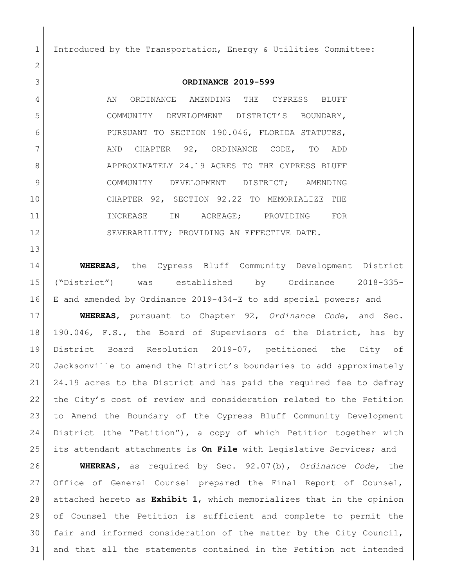Introduced by the Transportation, Energy & Utilities Committee:

## **ORDINANCE 2019-599**

4 AN ORDINANCE AMENDING THE CYPRESS BLUFF COMMUNITY DEVELOPMENT DISTRICT'S BOUNDARY, PURSUANT TO SECTION 190.046, FLORIDA STATUTES, 7 AND CHAPTER 92, ORDINANCE CODE, TO ADD 8 APPROXIMATELY 24.19 ACRES TO THE CYPRESS BLUFF 9 COMMUNITY DEVELOPMENT DISTRICT; AMENDING CHAPTER 92, SECTION 92.22 TO MEMORIALIZE THE 11 INCREASE IN ACREAGE; PROVIDING FOR 12 SEVERABILITY; PROVIDING AN EFFECTIVE DATE.

 **WHEREAS**, the Cypress Bluff Community Development District ("District") was established by Ordinance 2018-335- E and amended by Ordinance 2019-434-E to add special powers; and

 **WHEREAS**, pursuant to Chapter 92, *Ordinance Code*, and Sec. 190.046, F.S., the Board of Supervisors of the District, has by District Board Resolution 2019-07, petitioned the City of Jacksonville to amend the District's boundaries to add approximately 21 24.19 acres to the District and has paid the required fee to defray the City's cost of review and consideration related to the Petition to Amend the Boundary of the Cypress Bluff Community Development District (the "Petition"), a copy of which Petition together with its attendant attachments is **On File** with Legislative Services; and

 **WHEREAS,** as required by Sec. 92.07(b), *Ordinance Code,* the Office of General Counsel prepared the Final Report of Counsel, attached hereto as **Exhibit 1**, which memorializes that in the opinion of Counsel the Petition is sufficient and complete to permit the fair and informed consideration of the matter by the City Council, and that all the statements contained in the Petition not intended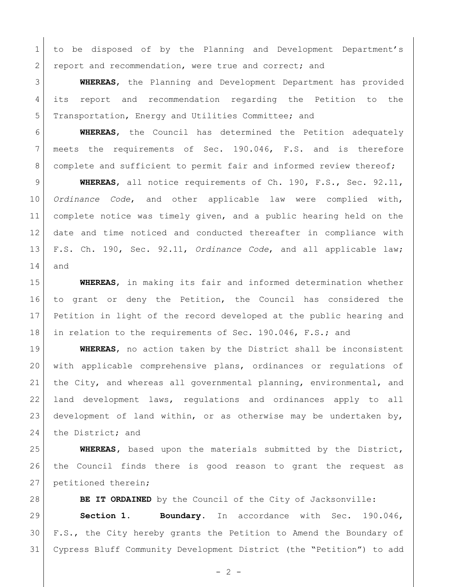to be disposed of by the Planning and Development Department's 2 report and recommendation, were true and correct; and

 **WHEREAS**, the Planning and Development Department has provided its report and recommendation regarding the Petition to the 5 | Transportation, Energy and Utilities Committee; and

 **WHEREAS**, the Council has determined the Petition adequately meets the requirements of Sec. 190.046, F.S. and is therefore 8 complete and sufficient to permit fair and informed review thereof;

 **WHEREAS**, all notice requirements of Ch. 190, F.S., Sec. 92.11, *Ordinance Code*, and other applicable law were complied with, complete notice was timely given, and a public hearing held on the date and time noticed and conducted thereafter in compliance with F.S. Ch. 190, Sec. 92.11, *Ordinance Code*, and all applicable law; and

 **WHEREAS**, in making its fair and informed determination whether to grant or deny the Petition, the Council has considered the Petition in light of the record developed at the public hearing and 18 in relation to the requirements of Sec. 190.046, F.S.; and

 **WHEREAS**, no action taken by the District shall be inconsistent with applicable comprehensive plans, ordinances or regulations of 21 | the City, and whereas all governmental planning, environmental, and land development laws, regulations and ordinances apply to all 23 development of land within, or as otherwise may be undertaken by, 24 the District; and

 **WHEREAS,** based upon the materials submitted by the District, the Council finds there is good reason to grant the request as 27 petitioned therein;

 **BE IT ORDAINED** by the Council of the City of Jacksonville: **Section 1. Boundary.** In accordance with Sec. 190.046, F.S., the City hereby grants the Petition to Amend the Boundary of

Cypress Bluff Community Development District (the "Petition") to add

 $- 2 -$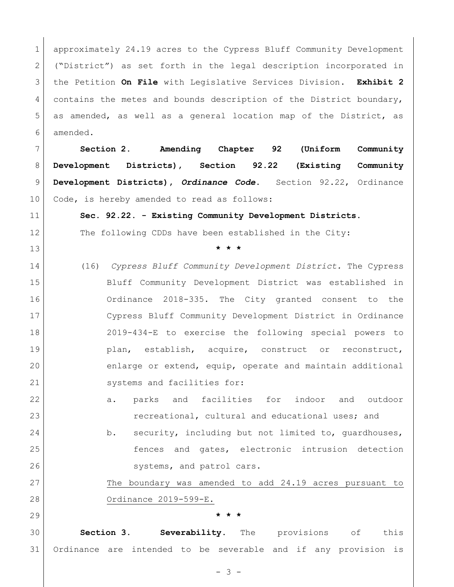1 approximately 24.19 acres to the Cypress Bluff Community Development 2 ("District") as set forth in the legal description incorporated in the Petition **On File** with Legislative Services Division**. Exhibit 2**  4 contains the metes and bounds description of the District boundary, as amended, as well as a general location map of the District, as amended.

 **Section 2. Amending Chapter 92 (Uniform Community Development Districts), Section 92.22 (Existing Community Development Districts),** *Ordinance Code***.** Section 92.22, Ordinance 10 Code, is hereby amended to read as follows:

**Sec. 92.22. - Existing Community Development Districts.** 

12 The following CDDs have been established in the City:

- **\* \* \***
- (16) *Cypress Bluff Community Development District.* The Cypress Bluff Community Development District was established in Ordinance 2018-335. The City granted consent to the Cypress Bluff Community Development District in Ordinance 2019-434-E to exercise the following special powers to 19 plan, establish, acquire, construct or reconstruct, enlarge or extend, equip, operate and maintain additional 21 Systems and facilities for:
- 22 a. parks and facilities for indoor and outdoor **recreational, cultural and educational uses;** and
- 24 b. security, including but not limited to, quardhouses, fences and gates, electronic intrusion detection 26 systems, and patrol cars.

 The boundary was amended to add 24.19 acres pursuant to Ordinance 2019-599-E.

## **\* \* \***

 **Section 3. Severability.** The provisions of this Ordinance are intended to be severable and if any provision is